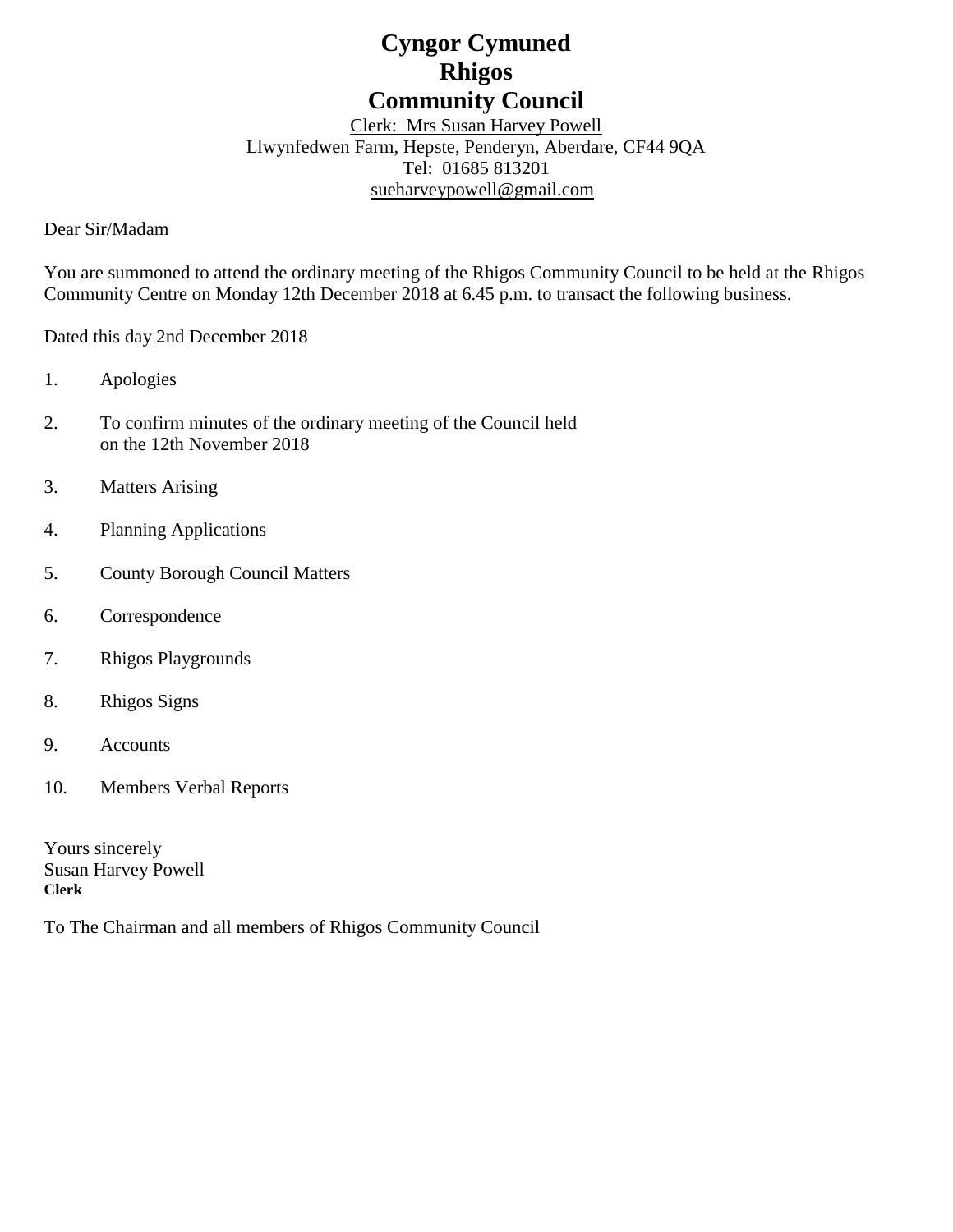# **Cyngor Cymuned Rhigos Community Council**

Clerk: Mrs Susan Harvey Powell Llwynfedwen Farm, Hepste, Penderyn, Aberdare, CF44 9QA Tel: 01685 813201 [sueharveypowell@g](mailto:sharveypowell@comin-infants.co.uk)mail.com

Dear Sir/Madam

You are summoned to attend the ordinary meeting of the Rhigos Community Council to be held at the Rhigos Community Centre on Monday 12th December 2018 at 6.45 p.m. to transact the following business.

Dated this day 2nd December 2018

- 1. Apologies
- 2. To confirm minutes of the ordinary meeting of the Council held on the 12th November 2018
- 3. Matters Arising
- 4. Planning Applications
- 5. County Borough Council Matters
- 6. Correspondence
- 7. Rhigos Playgrounds
- 8. Rhigos Signs
- 9. Accounts
- 10. Members Verbal Reports

Yours sincerely Susan Harvey Powell **Clerk**

To The Chairman and all members of Rhigos Community Council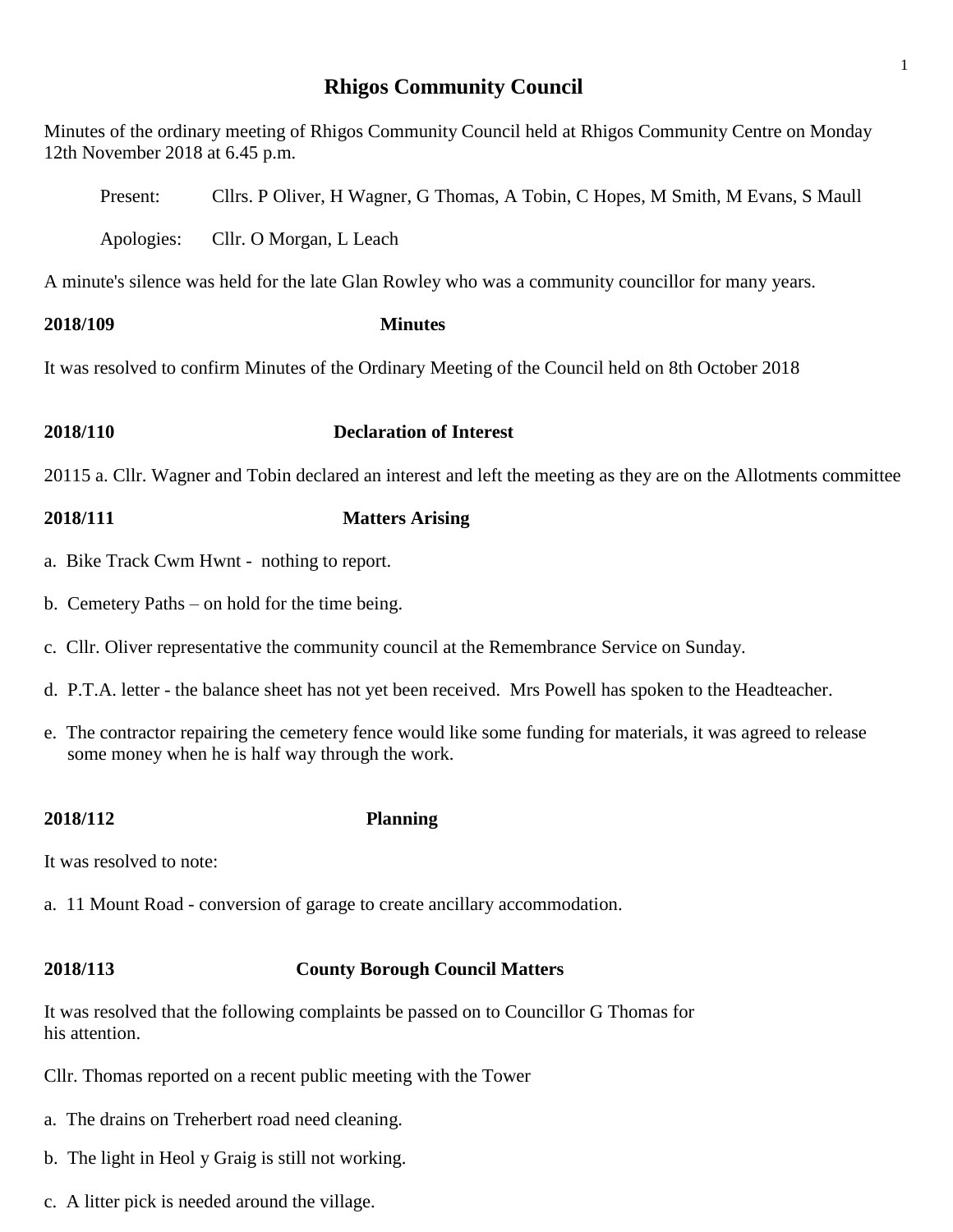# **Rhigos Community Council**

1

Minutes of the ordinary meeting of Rhigos Community Council held at Rhigos Community Centre on Monday 12th November 2018 at 6.45 p.m.

| <b>2018/110</b>                                                                                     |            | <b>Declaration of Interest</b>                                                   |  |  |  |
|-----------------------------------------------------------------------------------------------------|------------|----------------------------------------------------------------------------------|--|--|--|
| It was resolved to confirm Minutes of the Ordinary Meeting of the Council held on 8th October 2018  |            |                                                                                  |  |  |  |
| 2018/109                                                                                            |            | <b>Minutes</b>                                                                   |  |  |  |
| A minute's silence was held for the late Glan Rowley who was a community councillor for many years. |            |                                                                                  |  |  |  |
|                                                                                                     | Apologies: | Cllr. O Morgan, L Leach                                                          |  |  |  |
|                                                                                                     | Present:   | Cllrs. P Oliver, H Wagner, G Thomas, A Tobin, C Hopes, M Smith, M Evans, S Maull |  |  |  |

20115 a. Cllr. Wagner and Tobin declared an interest and left the meeting as they are on the Allotments committee

# **2018/111 Matters Arising**

- a. Bike Track Cwm Hwnt nothing to report.
- b. Cemetery Paths on hold for the time being.
- c. Cllr. Oliver representative the community council at the Remembrance Service on Sunday.
- d. P.T.A. letter the balance sheet has not yet been received. Mrs Powell has spoken to the Headteacher.
- e. The contractor repairing the cemetery fence would like some funding for materials, it was agreed to release some money when he is half way through the work.

### **2018/112 Planning**

It was resolved to note:

a. 11 Mount Road - conversion of garage to create ancillary accommodation.

## **2018/113 County Borough Council Matters**

It was resolved that the following complaints be passed on to Councillor G Thomas for his attention.

Cllr. Thomas reported on a recent public meeting with the Tower

- a. The drains on Treherbert road need cleaning.
- b. The light in Heol y Graig is still not working.
- c. A litter pick is needed around the village.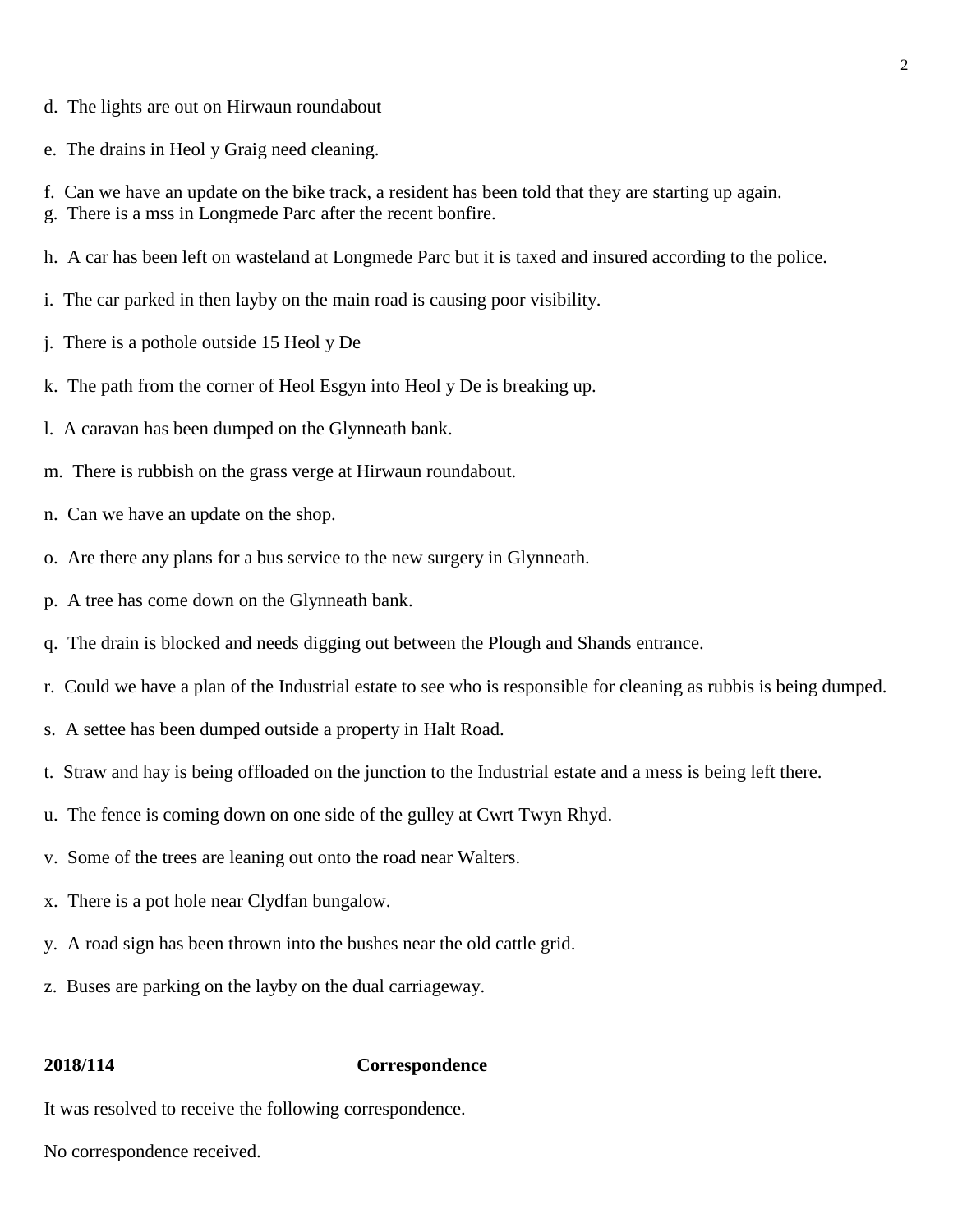- d. The lights are out on Hirwaun roundabout
- e. The drains in Heol y Graig need cleaning.
- f. Can we have an update on the bike track, a resident has been told that they are starting up again.
- g. There is a mss in Longmede Parc after the recent bonfire.
- h. A car has been left on wasteland at Longmede Parc but it is taxed and insured according to the police.
- i. The car parked in then layby on the main road is causing poor visibility.
- j. There is a pothole outside 15 Heol y De
- k. The path from the corner of Heol Esgyn into Heol y De is breaking up.
- l. A caravan has been dumped on the Glynneath bank.
- m. There is rubbish on the grass verge at Hirwaun roundabout.
- n. Can we have an update on the shop.
- o. Are there any plans for a bus service to the new surgery in Glynneath.
- p. A tree has come down on the Glynneath bank.
- q. The drain is blocked and needs digging out between the Plough and Shands entrance.
- r. Could we have a plan of the Industrial estate to see who is responsible for cleaning as rubbis is being dumped.
- s. A settee has been dumped outside a property in Halt Road.
- t. Straw and hay is being offloaded on the junction to the Industrial estate and a mess is being left there.
- u. The fence is coming down on one side of the gulley at Cwrt Twyn Rhyd.
- v. Some of the trees are leaning out onto the road near Walters.
- x. There is a pot hole near Clydfan bungalow.
- y. A road sign has been thrown into the bushes near the old cattle grid.
- z. Buses are parking on the layby on the dual carriageway.

### **2018/114 Correspondence**

It was resolved to receive the following correspondence.

No correspondence received.